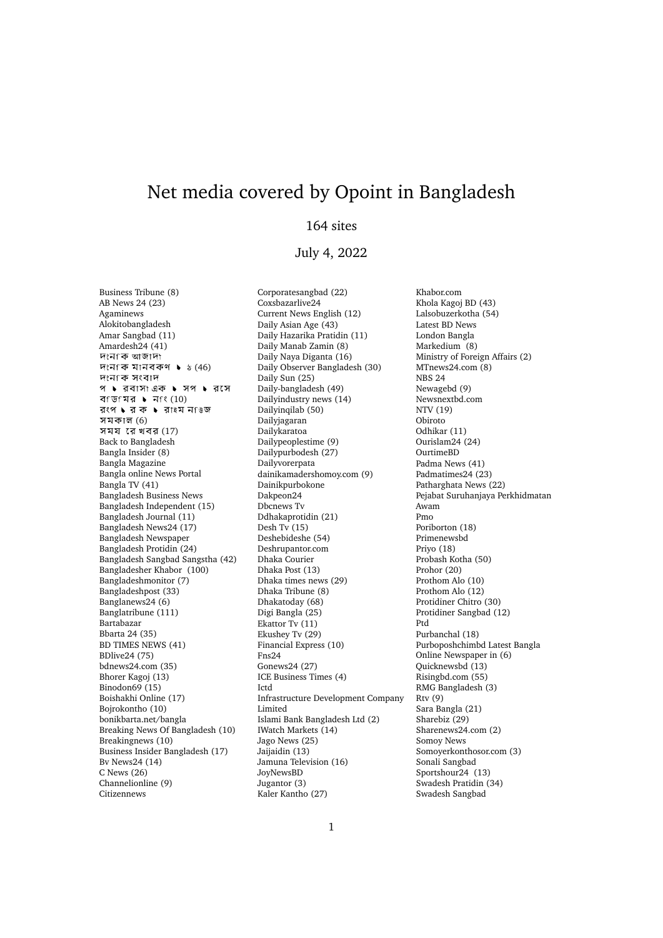## Net media covered by Opoint in Bangladesh

## 164 sites

## July 4, 2022

Business Tribune (8) AB News 24 (23) Agaminews Alokitobangladesh Amar Sangbad (11) Amardesh24 (41)<br>দংনকি আজাদা দংনকে মানবকণ  $\bullet$   $\frac{1}{6}$  (46) দংনকে সংবাদ প ▶ রবাসা এক ▶ সপ ▶ রসে বি ডি মির ▶ নাং (10)<br>রংপ ▶ র ক ▶ রা≹ম ন িউজ সমকাল (6) সময $\overline{3}$  রে খবর (17) Back to Bangladesh Bangla Insider (8) Bangla Magazine Bangla online News Portal Bangla TV (41) Bangladesh Business News Bangladesh Independent (15) Bangladesh Journal (11) Bangladesh News24 (17) Bangladesh Newspaper Bangladesh Protidin (24) Bangladesh Sangbad Sangstha (42) Bangladesher Khabor (100) Bangladeshmonitor (7) Bangladeshpost (33) Banglanews24 (6) Banglatribune (111) Bartabazar Bbarta 24 (35) BD TIMES NEWS (41) BDlive24 (75) bdnews24.com (35) Bhorer Kagoj (13) Binodon69 (15) Boishakhi Online (17) Bojrokontho (10) bonikbarta.net/bangla Breaking News Of Bangladesh (10) Breakingnews (10) Business Insider Bangladesh (17) Bv News24 (14) C News (26) Channelionline (9) **Citizennews** 

Corporatesangbad (22) Coxsbazarlive24 Current News English (12) Daily Asian Age (43) Daily Hazarika Pratidin (11) Daily Manab Zamin (8) Daily Naya Diganta (16) Daily Observer Bangladesh (30) Daily Sun (25) Daily-bangladesh (49) Dailyindustry news (14) Dailyingilab (50) Dailyjagaran Dailykaratoa Dailypeoplestime (9) Dailypurbodesh (27) Dailyvorerpata dainikamadershomoy.com (9) Dainikpurbokone Dakpeon24 Dbcnews Tv Ddhakaprotidin (21) Desh Tv (15) Deshebideshe (54) Deshrupantor.com Dhaka Courier Dhaka Post (13) Dhaka times news (29) Dhaka Tribune (8) Dhakatoday (68) Digi Bangla (25) Ekattor Tv (11) Ekushey Tv (29) Financial Express (10) Fns24 Gonews24 (27) ICE Business Times (4) Ictd Infrastructure Development Company Limited Islami Bank Bangladesh Ltd (2) IWatch Markets (14) Jago News (25) Jaijaidin (13) Jamuna Television (16) JoyNewsBD Jugantor (3) Kaler Kantho (27)

Khabor.com Khola Kagoj BD (43) Lalsobuzerkotha (54) Latest BD News London Bangla Markedium (8) Ministry of Foreign Affairs (2) MTnews24.com (8) NBS 24 Newagebd (9) Newsnextbd.com NTV (19) Obiroto Odhikar (11) Ourislam24 (24) OurtimeBD Padma News (41) Padmatimes24 (23) Patharghata News (22) Pejabat Suruhanjaya Perkhidmatan Awam Pmo Poriborton (18) Primenewsbd Priyo (18) Probash Kotha (50) Prohor (20) Prothom Alo (10) Prothom Alo (12) Protidiner Chitro (30) Protidiner Sangbad (12) Ptd Purbanchal (18) Purboposhchimbd Latest Bangla Online Newspaper in (6) Quicknewsbd (13) Risingbd.com (55) RMG Bangladesh (3) Rtv (9) Sara Bangla (21) Sharebiz (29) Sharenews24.com (2) Somoy News Somoyerkonthosor.com (3) Sonali Sangbad Sportshour24 (13) Swadesh Pratidin (34) Swadesh Sangbad